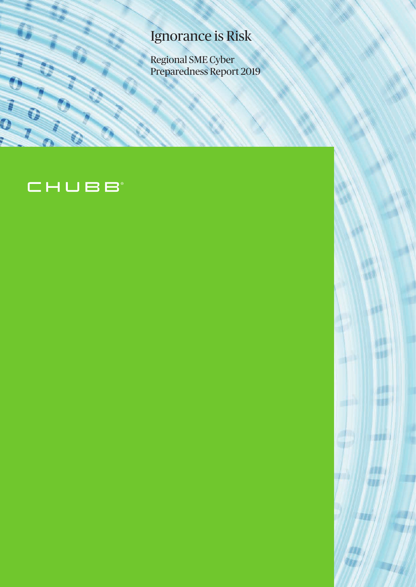# Ignorance is Risk

Regional SME Cyber Preparedness Report 2019

> ٠H T N

rus **THE** 

**DOW!** 

WWW

WEW

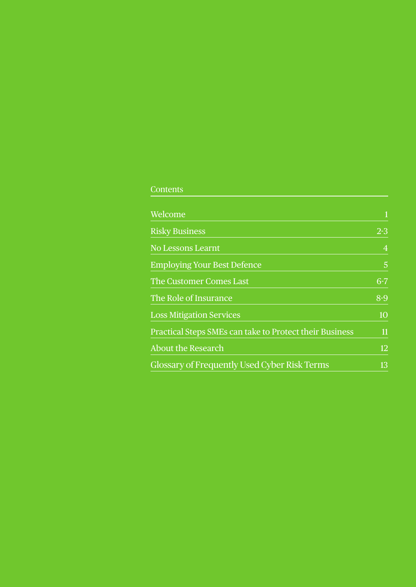## **Contents**

| Welcome                                                 | $\mathbf{1}$   |
|---------------------------------------------------------|----------------|
| <b>Risky Business</b>                                   | $2 - 3$        |
| <b>No Lessons Learnt</b>                                | $\overline{4}$ |
| <b>Employing Your Best Defence</b>                      | 5              |
| The Customer Comes Last                                 | $6 - 7$        |
| The Role of Insurance                                   | $8-9$          |
| <b>Loss Mitigation Services</b>                         | 10             |
| Practical Steps SMEs can take to Protect their Business | 11             |
| <b>About the Research</b>                               | 12             |
| Glossary of Frequently Used Cyber Risk Terms            | 13             |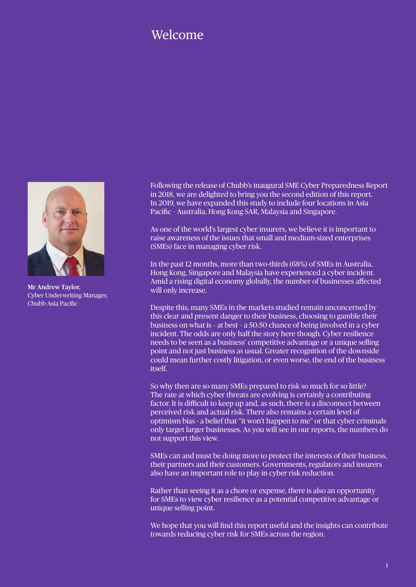## Welcome



Mr Andrew Taylor, Cyber Underwriting Manager, Chubb Asia Pacific

Following the release of Chubb's inaugural SME Cyber Preparedness Report in 2018, we are delighted to bring you the second edition of this report. In 2019, we have expanded this study to include four locations in Asia Pacific – Australia, Hong Kong SAR, Malaysia and Singapore.

As one of the world's largest cyber insurers, we believe it is important to raise awareness of the issues that small and medium-sized enterprises (SMEs) face in managing cyber risk.

In the past 12 months, more than two-thirds (68%) of SMEs in Australia, Hong Kong, Singapore and Malaysia have experienced a cyber incident. Amid a rising digital economy globally, the number of businesses affected will only increase.

Despite this, many SMEs in the markets studied remain unconcerned by this clear and present danger to their business, choosing to gamble their business on what is – at best – a 50:50 chance of being involved in a cyber incident. The odds are only half the story here though. Cyber resilience needs to be seen as a business' competitive advantage or a unique selling point and not just business as usual. Greater recognition of the downside could mean further costly litigation, or even worse, the end of the business itself.

So why then are so many SMEs prepared to risk so much for so little? The rate at which cyber threats are evolving is certainly a contributing factor. It is difficult to keep up and, as such, there is a disconnect between perceived risk and actual risk. There also remains a certain level of optimism bias - a belief that "it won't happen to me" or that cyber criminals only target larger businesses. As you will see in our reports, the numbers do not support this view.

SMEs can and must be doing more to protect the interests of their business, their partners and their customers. Governments, regulators and insurers also have an important role to play in cyber risk reduction.

Rather than seeing it as a chore or expense, there is also an opportunity for SMEs to view cyber resilience as a potential competitive advantage or unique selling point.

We hope that you will find this report useful and the insights can contribute towards reducing cyber risk for SMEs across the region.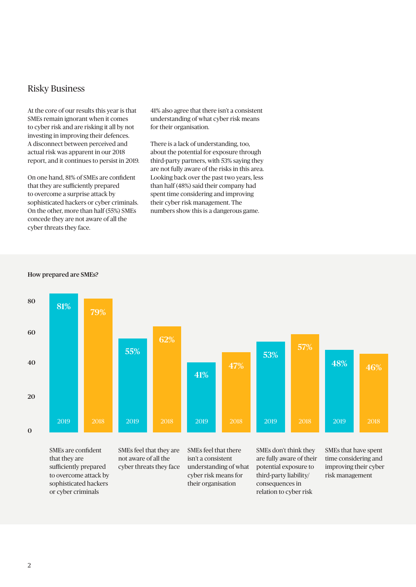### Risky Business

At the core of our results this year is that SMEs remain ignorant when it comes to cyber risk and are risking it all by not investing in improving their defences. A disconnect between perceived and actual risk was apparent in our 2018 report, and it continues to persist in 2019.

On one hand, 81% of SMEs are confident that they are sufficiently prepared to overcome a surprise attack by sophisticated hackers or cyber criminals. On the other, more than half (55%) SMEs concede they are not aware of all the cyber threats they face.

41% also agree that there isn't a consistent understanding of what cyber risk means for their organisation.

There is a lack of understanding, too, about the potential for exposure through third-party partners, with 53% saying they are not fully aware of the risks in this area. Looking back over the past two years, less than half (48%) said their company had spent time considering and improving their cyber risk management. The numbers show this is a dangerous game.





SMEs are confident that they are sufficiently prepared to overcome attack by sophisticated hackers or cyber criminals

SMEs feel that they are not aware of all the cyber threats they face

isn't a consistent understanding of what cyber risk means for their organisation

SMEs don't think they are fully aware of their potential exposure to third-party liability/ consequences in relation to cyber risk

SMEs that have spent time considering and improving their cyber risk management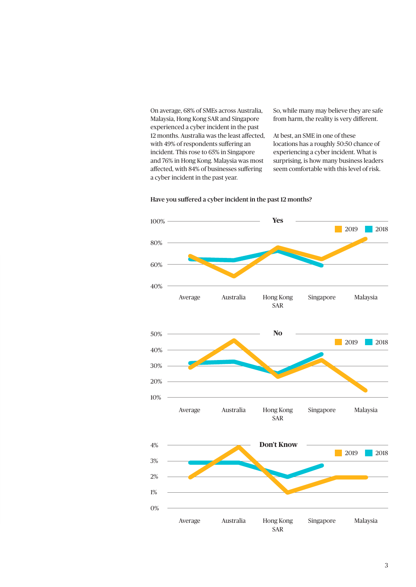On average, 68% of SMEs across Australia, Malaysia, Hong Kong SAR and Singapore experienced a cyber incident in the past 12 months. Australia was the least affected, with 49% of respondents suffering an incident. This rose to 65% in Singapore and 76% in Hong Kong. Malaysia was most affected, with 84% of businesses suffering a cyber incident in the past year.

So, while many may believe they are safe from harm, the reality is very different.

At best, an SME in one of these locations has a roughly 50:50 chance of experiencing a cyber incident. What is surprising, is how many business leaders seem comfortable with this level of risk.



#### Have you suffered a cyber incident in the past 12 months?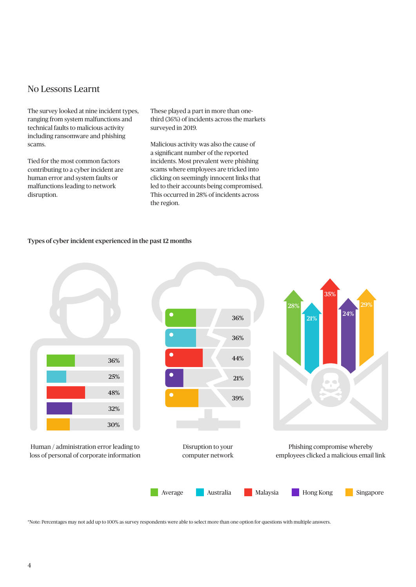### No Lessons Learnt

The survey looked at nine incident types, ranging from system malfunctions and technical faults to malicious activity including ransomware and phishing scams.

Tied for the most common factors contributing to a cyber incident are human error and system faults or malfunctions leading to network disruption.

These played a part in more than onethird (36%) of incidents across the markets surveyed in 2019.

Malicious activity was also the cause of a significant number of the reported incidents. Most prevalent were phishing scams where employees are tricked into clicking on seemingly innocent links that led to their accounts being compromised. This occurred in 28% of incidents across the region.

#### Types of cyber incident experienced in the past 12 months



\*Note: Percentages may not add up to 100% as survey respondents were able to select more than one option for questions with multiple answers.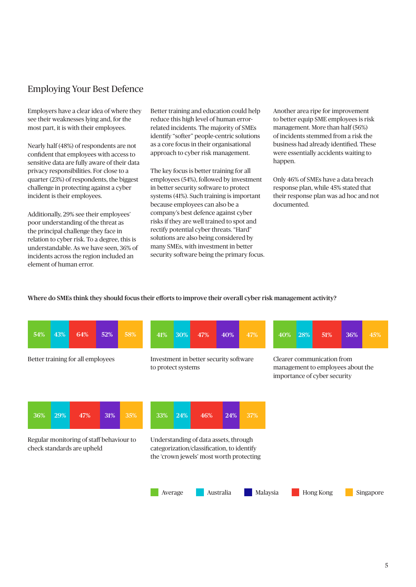## Employing Your Best Defence

Employers have a clear idea of where they see their weaknesses lying and, for the most part, it is with their employees.

Nearly half (48%) of respondents are not confident that employees with access to sensitive data are fully aware of their data privacy responsibilities. For close to a quarter (23%) of respondents, the biggest challenge in protecting against a cyber incident is their employees.

Additionally, 29% see their employees' poor understanding of the threat as the principal challenge they face in relation to cyber risk. To a degree, this is understandable. As we have seen, 36% of incidents across the region included an element of human error.

Better training and education could help reduce this high level of human errorrelated incidents. The majority of SMEs identify "softer" people-centric solutions as a core focus in their organisational approach to cyber risk management.

The key focus is better training for all employees (54%), followed by investment in better security software to protect systems (41%). Such training is important because employees can also be a company's best defence against cyber risks if they are well trained to spot and rectify potential cyber threats. "Hard" solutions are also being considered by many SMEs, with investment in better security software being the primary focus. Another area ripe for improvement to better equip SME employees is risk management. More than half (56%) of incidents stemmed from a risk the business had already identified. These were essentially accidents waiting to happen.

Only 46% of SMEs have a data breach response plan, while 45% stated that their response plan was ad hoc and not documented.

#### Where do SMEs think they should focus their efforts to improve their overall cyber risk management activity?

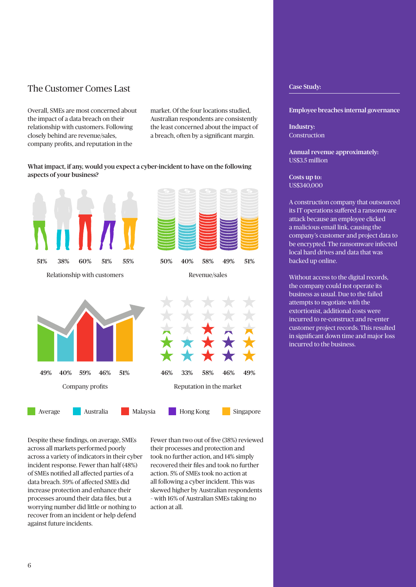## The Customer Comes Last

Overall, SMEs are most concerned about the impact of a data breach on their relationship with customers. Following closely behind are revenue/sales, company profits, and reputation in the

market. Of the four locations studied, Australian respondents are consistently the least concerned about the impact of a breach, often by a significant margin.

#### What impact, if any, would you expect a cyber-incident to have on the following aspects of your business?



Despite these findings, on average, SMEs across all markets performed poorly across a variety of indicators in their cyber incident response. Fewer than half (48%) of SMEs notified all affected parties of a data breach. 59% of affected SMEs did increase protection and enhance their processes around their data files, but a worrying number did little or nothing to recover from an incident or help defend against future incidents.

Fewer than two out of five (38%) reviewed their processes and protection and took no further action, and 14% simply recovered their files and took no further action. 5% of SMEs took no action at all following a cyber incident. This was skewed higher by Australian respondents – with 16% of Australian SMEs taking no action at all.

#### Case Study:

Employee breaches internal governance

Industry: Construction

Annual revenue approximately: US\$3.5 million

Costs up to: US\$340,000

A construction company that outsourced its IT operations suffered a ransomware attack because an employee clicked a malicious email link, causing the company's customer and project data to be encrypted. The ransomware infected local hard drives and data that was backed up online.

Without access to the digital records, the company could not operate its business as usual. Due to the failed attempts to negotiate with the extortionist, additional costs were incurred to re-construct and re-enter customer project records. This resulted in significant down time and major loss incurred to the business.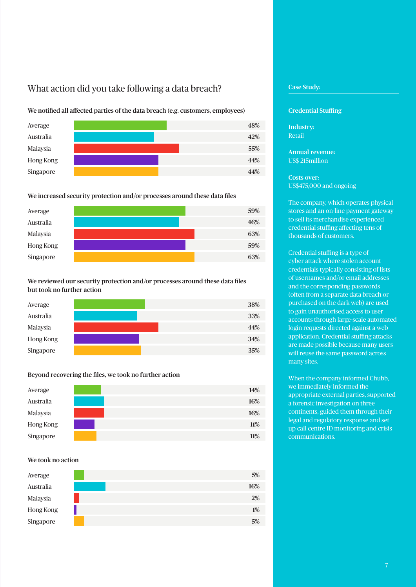## What action did you take following a data breach?

We notified all affected parties of the data breach (e.g. customers, employees)



#### We increased security protection and/or processes around these data files



### We reviewed our security protection and/or processes around these data files but took no further action

| Average   |  | 38% |
|-----------|--|-----|
| Australia |  | 33% |
| Malaysia  |  | 44% |
| Hong Kong |  | 34% |
| Singapore |  | 35% |

#### Beyond recovering the files, we took no further action



#### We took no action

| Average   | 5%    |
|-----------|-------|
| Australia | 16%   |
| Malaysia  | $2\%$ |
| Hong Kong | $1\%$ |
| Singapore | 5%    |

#### Case Study:

#### Credential Stuffing

Industry: Retail

Annual revenue: US\$ 215million

#### Costs over: US\$475,000 and ongoing

The company, which operates physical stores and an on-line payment gateway to sell its merchandise experienced credential stuffing affecting tens of thousands of customers.

Credential stuffing is a type of cyber attack where stolen account credentials typically consisting of lists of usernames and/or email addresses and the corresponding passwords (often from a separate data breach or purchased on the dark web) are used to gain unauthorised access to user accounts through large-scale automated login requests directed against a web application. Credential stuffing attacks are made possible because many users will reuse the same password across many sites.

When the company informed Chubb, we immediately informed the appropriate external parties, supported a forensic investigation on three continents, guided them through their legal and regulatory response and set up call centre ID monitoring and crisis communications.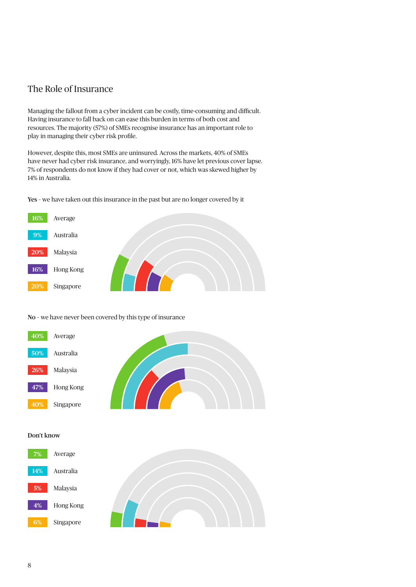## The Role of Insurance

Managing the fallout from a cyber incident can be costly, time-consuming and difficult. Having insurance to fall back on can ease this burden in terms of both cost and resources. The majority (57%) of SMEs recognise insurance has an important role to play in managing their cyber risk profile.

However, despite this, most SMEs are uninsured. Across the markets, 40% of SMEs have never had cyber risk insurance, and worryingly, 16% have let previous cover lapse. 7% of respondents do not know if they had cover or not, which was skewed higher by 14% in Australia.

Yes – we have taken out this insurance in the past but are no longer covered by it



#### No – we have never been covered by this type of insurance



#### Don't know



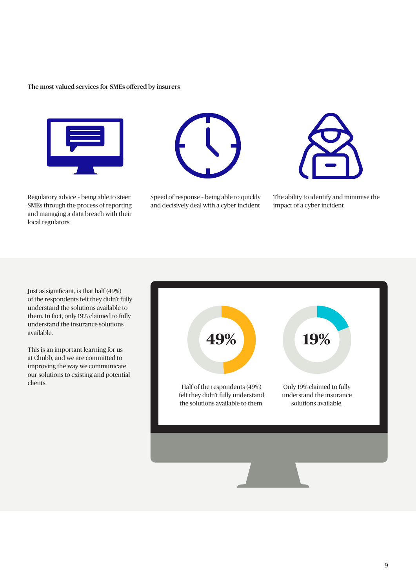#### The most valued services for SMEs offered by insurers



Regulatory advice – being able to steer SMEs through the process of reporting and managing a data breach with their local regulators



Speed of response – being able to quickly and decisively deal with a cyber incident



The ability to identify and minimise the impact of a cyber incident

Just as significant, is that half (49%) of the respondents felt they didn't fully understand the solutions available to them. In fact, only 19% claimed to fully understand the insurance solutions available.

This is an important learning for us at Chubb, and we are committed to improving the way we communicate our solutions to existing and potential

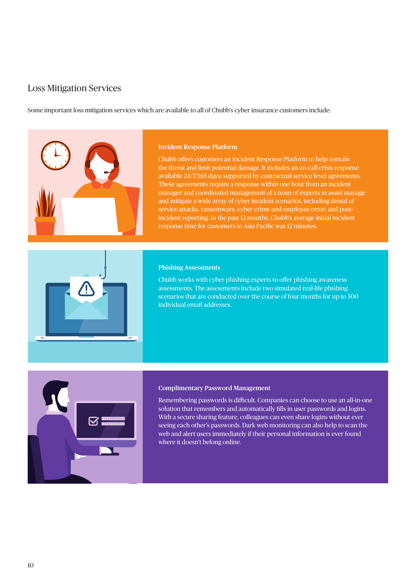## Loss Mitigation Services

Some important loss mitigation services which are available to all of Chubb's cyber insurance customers include:



#### Incident Response Platform

Chubb offers customers an Incident Response Platform to help contain the threat and limit potential damage. It includes an on-call crisis response available 24/7/365 days; supported by contractual service level agreements. These agreements require a response within one hour from an incident manager and coordinated management of a team of experts to assist manage and mitigate a wide array of cyber incident scenarios, including denial of service attacks, ransomware, cyber crime and employee error; and postincident reporting. In the past 12 months, Chubb's average initial incident response time for customers in Asia Pacific was 12 minutes.

#### Phishing Assessments

Chubb works with cyber phishing experts to offer phishing awareness assessments. The assessments include two simulated real-life phishing scenarios that are conducted over the course of four months for up to 500 individual email addresses.



#### Complimentary Password Management

Remembering passwords is difficult. Companies can choose to use an all-in-one solution that remembers and automatically fills in user passwords and logins. With a secure sharing feature, colleagues can even share logins without ever seeing each other's passwords. Dark web monitoring can also help to scan the web and alert users immediately if their personal information is ever found where it doesn't belong online.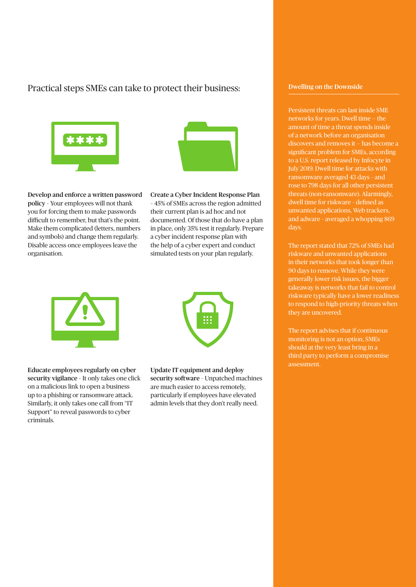## Practical steps SMEs can take to protect their business:





Develop and enforce a written password policy – Your employees will not thank you for forcing them to make passwords difficult to remember, but that's the point. Make them complicated (letters, numbers and symbols) and change them regularly. Disable access once employees leave the organisation.

Create a Cyber Incident Response Plan – 45% of SMEs across the region admitted their current plan is ad hoc and not documented. Of those that do have a plan in place, only 35% test it regularly. Prepare a cyber incident response plan with the help of a cyber expert and conduct simulated tests on your plan regularly.



Educate employees regularly on cyber security vigilance – It only takes one click on a malicious link to open a business up to a phishing or ransomware attack. Similarly, it only takes one call from "IT Support" to reveal passwords to cyber criminals.



Update IT equipment and deploy security software – Unpatched machines

are much easier to access remotely, particularly if employees have elevated admin levels that they don't really need.

#### Dwelling on the Downside

Persistent threats can last inside SME networks for years. Dwell time — the amount of time a threat spends inside of a network before an organisation discovers and removes it — has become a significant problem for SMEs, according to a U.S. report released by Infocyte in July 2019. Dwell time for attacks with ransomware averaged 43 days – and rose to 798 days for all other persistent threats (non-ransomware). Alarmingly, dwell time for riskware – defined as unwanted applications, Web trackers, and adware – averaged a whopping 869 days.

The report stated that 72% of SMEs had riskware and unwanted applications in their networks that took longer than generally lower risk issues, the bigger takeaway is networks that fail to control riskware typically have a lower readiness to respond to high-priority threats when they are uncovered.

The report advises that if continuous monitoring is not an option, SMEs should at the very least bring in a third party to perform a compromise assessment.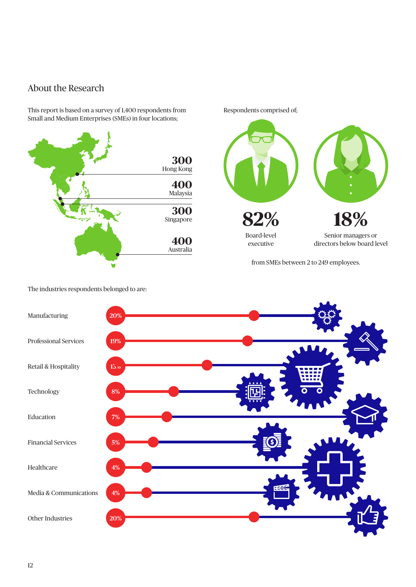## About the Research

This report is based on a survey of 1,400 respondents from Small and Medium Enterprises (SMEs) in four locations;





from SMEs between 2 to 249 employees.



The industries respondents belonged to are: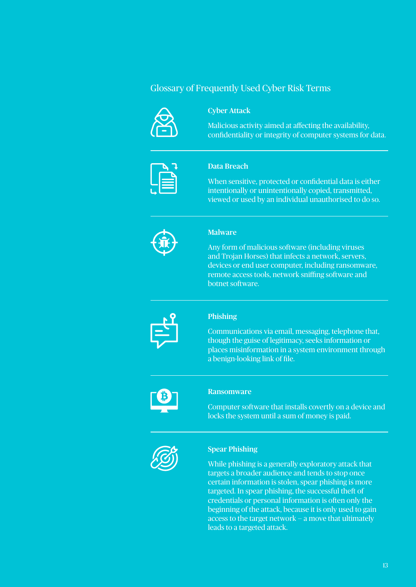## Glossary of Frequently Used Cyber Risk Terms



### Cyber Attack

Malicious activity aimed at affecting the availability, confidentiality or integrity of computer systems for data.



#### Data Breach

When sensitive, protected or confidential data is either intentionally or unintentionally copied, transmitted, viewed or used by an individual unauthorised to do so.



#### **Malware**

Any form of malicious software (including viruses and Trojan Horses) that infects a network, servers, devices or end user computer, including ransomware, remote access tools, network sniffing software and botnet software.



#### Phishing

Communications via email, messaging, telephone that, though the guise of legitimacy, seeks information or places misinformation in a system environment through a benign-looking link of file.



#### Ransomware

Computer software that installs covertly on a device and locks the system until a sum of money is paid.



#### Spear Phishing

While phishing is a generally exploratory attack that targets a broader audience and tends to stop once certain information is stolen, spear phishing is more targeted. In spear phishing, the successful theft of credentials or personal information is often only the beginning of the attack, because it is only used to gain access to the target network — a move that ultimately leads to a targeted attack.